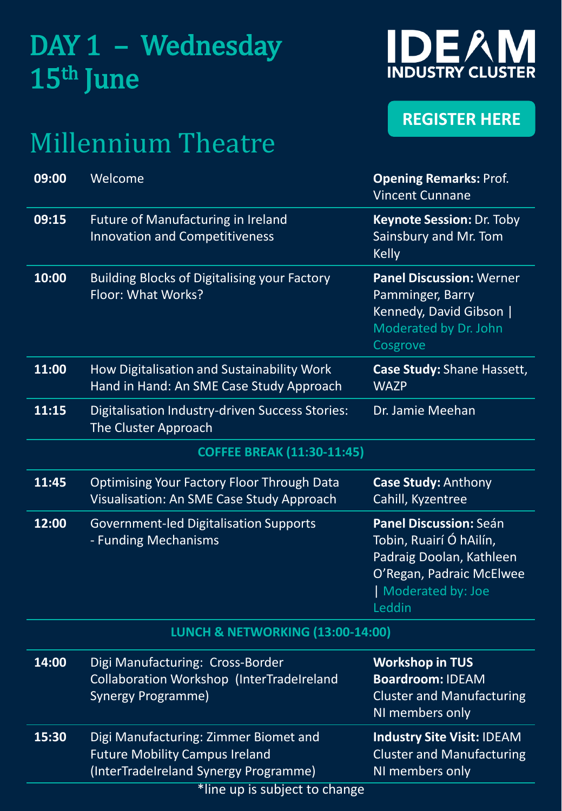## DAY 1 – Wednesday 15th June

### Millennium Theatre



#### **[REGISTER HERE](https://www.eventbrite.co.uk/e/conference-on-digitalisation-of-manufacturing-tickets-265197632257)**

| 09:00                                       | Welcome                                                                                                                                                  | <b>Opening Remarks: Prof.</b><br><b>Vincent Cunnane</b>                                                                                  |  |
|---------------------------------------------|----------------------------------------------------------------------------------------------------------------------------------------------------------|------------------------------------------------------------------------------------------------------------------------------------------|--|
| 09:15                                       | Future of Manufacturing in Ireland<br><b>Innovation and Competitiveness</b>                                                                              | Keynote Session: Dr. Toby<br>Sainsbury and Mr. Tom<br><b>Kelly</b>                                                                       |  |
| 10:00                                       | <b>Building Blocks of Digitalising your Factory</b><br>Floor: What Works?                                                                                | <b>Panel Discussion: Werner</b><br>Pamminger, Barry<br>Kennedy, David Gibson  <br>Moderated by Dr. John<br>Cosgrove                      |  |
| 11:00                                       | How Digitalisation and Sustainability Work<br>Hand in Hand: An SME Case Study Approach                                                                   | Case Study: Shane Hassett,<br><b>WAZP</b>                                                                                                |  |
| 11:15                                       | Digitalisation Industry-driven Success Stories:<br>The Cluster Approach                                                                                  | Dr. Jamie Meehan                                                                                                                         |  |
| <b>COFFEE BREAK (11:30-11:45)</b>           |                                                                                                                                                          |                                                                                                                                          |  |
| 11:45                                       | <b>Optimising Your Factory Floor Through Data</b><br>Visualisation: An SME Case Study Approach                                                           | <b>Case Study: Anthony</b><br>Cahill, Kyzentree                                                                                          |  |
| 12:00                                       | <b>Government-led Digitalisation Supports</b><br>- Funding Mechanisms                                                                                    | Panel Discussion: Seán<br>Tobin, Ruairí Ó hAilín,<br>Padraig Doolan, Kathleen<br>O'Regan, Padraic McElwee<br>Moderated by: Joe<br>Leddin |  |
| <b>LUNCH &amp; NETWORKING (13:00-14:00)</b> |                                                                                                                                                          |                                                                                                                                          |  |
| 14:00                                       | Digi Manufacturing: Cross-Border<br>Collaboration Workshop (InterTradeIreland<br>Synergy Programme)                                                      | <b>Workshop in TUS</b><br><b>Boardroom: IDEAM</b><br><b>Cluster and Manufacturing</b><br>NI members only                                 |  |
| 15:30                                       | Digi Manufacturing: Zimmer Biomet and<br><b>Future Mobility Campus Ireland</b><br>(InterTradeIreland Synergy Programme)<br>*line up is subject to change | <b>Industry Site Visit: IDEAM</b><br><b>Cluster and Manufacturing</b><br>NI members only                                                 |  |
|                                             |                                                                                                                                                          |                                                                                                                                          |  |